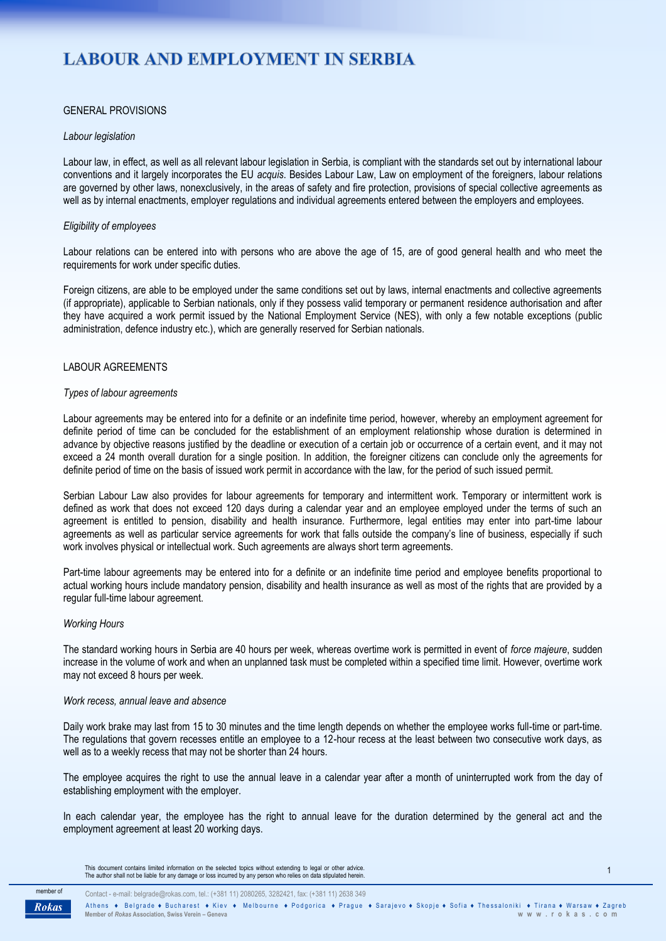# **LABOUR AND EMPLOYMENT IN SERBIA**

## GENERAL PROVISIONS

## *Labour legislation*

Labour law, in effect, as well as all relevant labour legislation in Serbia, is compliant with the standards set out by international labour conventions and it largely incorporates the EU *acquis*. Besides Labour Law, Law on employment of the foreigners, labour relations are governed by other laws, nonexclusively, in the areas of safety and fire protection, provisions of special collective agreements as well as by internal enactments, employer regulations and individual agreements entered between the employers and employees.

## *Eligibility of employees*

Labour relations can be entered into with persons who are above the age of 15, are of good general health and who meet the requirements for work under specific duties.

Foreign citizens, are able to be employed under the same conditions set out by laws, internal enactments and collective agreements (if appropriate), applicable to Serbian nationals, only if they possess valid temporary or permanent residence authorisation and after they have acquired a work permit issued by the National Employment Service (NES), with only a few notable exceptions (public administration, defence industry etc.), which are generally reserved for Serbian nationals.

## LABOUR AGREEMENTS

#### *Types of labour agreements*

Labour agreements may be entered into for a definite or an indefinite time period, however, whereby an employment agreement for definite period of time can be concluded for the establishment of an employment relationship whose duration is determined in advance by objective reasons justified by the deadline or execution of a certain job or occurrence of a certain event, and it may not exceed a 24 month overall duration for a single position. In addition, the foreigner citizens can conclude only the agreements for definite period of time on the basis of issued work permit in accordance with the law, for the period of such issued permit.

Serbian Labour Law also provides for labour agreements for temporary and intermittent work. Temporary or intermittent work is defined as work that does not exceed 120 days during a calendar year and an employee employed under the terms of such an agreement is entitled to pension, disability and health insurance. Furthermore, legal entities may enter into part-time labour agreements as well as particular service agreements for work that falls outside the company's line of business, especially if such work involves physical or intellectual work. Such agreements are always short term agreements.

Part-time labour agreements may be entered into for a definite or an indefinite time period and employee benefits proportional to actual working hours include mandatory pension, disability and health insurance as well as most of the rights that are provided by a regular full-time labour agreement.

#### *Working Hours*

The standard working hours in Serbia are 40 hours per week, whereas overtime work is permitted in event of *force majeure*, sudden increase in the volume of work and when an unplanned task must be completed within a specified time limit. However, overtime work may not exceed 8 hours per week.

#### *Work recess, annual leave and absence*

Daily work brake may last from 15 to 30 minutes and the time length depends on whether the employee works full-time or part-time. The regulations that govern recesses entitle an employee to a 12-hour recess at the least between two consecutive work days, as well as to a weekly recess that may not be shorter than 24 hours.

The employee acquires the right to use the annual leave in a calendar year after a month of uninterrupted work from the day of establishing employment with the employer.

In each calendar year, the employee has the right to annual leave for the duration determined by the general act and the employment agreement at least 20 working days.

This document contains limited information on the selected topics without extending to legal or other advice.<br>The author shall not be liable for any damage or loss incurred by any person who relies on data stipulated herei



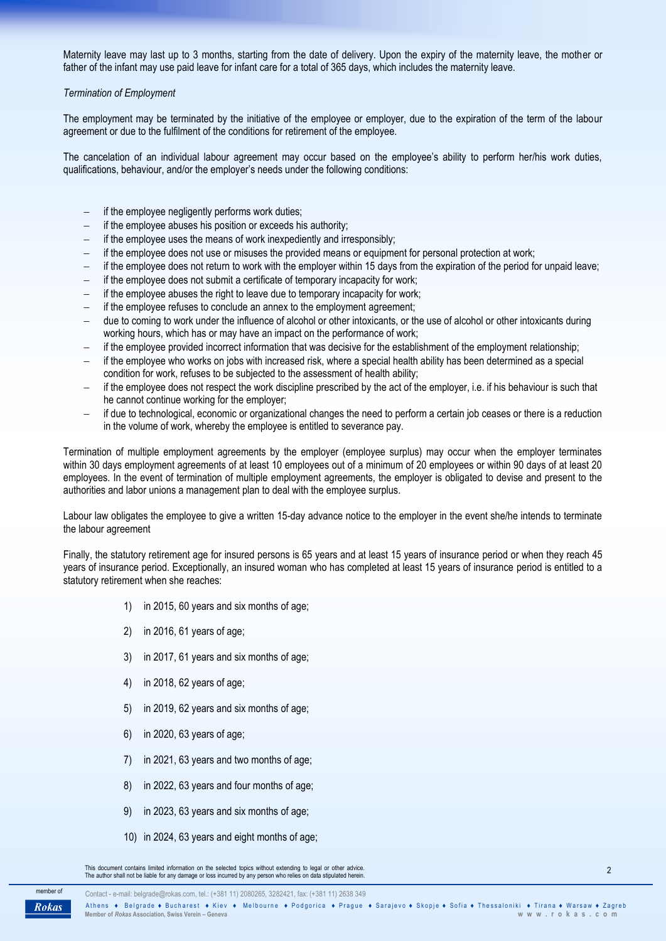Maternity leave may last up to 3 months, starting from the date of delivery. Upon the expiry of the maternity leave, the mother or father of the infant may use paid leave for infant care for a total of 365 days, which includes the maternity leave.

## *Termination of Employment*

The employment may be terminated by the initiative of the employee or employer, due to the expiration of the term of the labour agreement or due to the fulfilment of the conditions for retirement of the employee.

The cancelation of an individual labour agreement may occur based on the employee's ability to perform her/his work duties, qualifications, behaviour, and/or the employer's needs under the following conditions:

- $\overline{-}$  if the employee negligently performs work duties;
- if the employee abuses his position or exceeds his authority;
- if the employee uses the means of work inexpediently and irresponsibly;
- $\overline{a}$  if the employee does not use or misuses the provided means or equipment for personal protection at work;
- $-$  if the employee does not return to work with the employer within 15 days from the expiration of the period for unpaid leave;
- if the employee does not submit a certificate of temporary incapacity for work;
- if the employee abuses the right to leave due to temporary incapacity for work;
- if the employee refuses to conclude an annex to the employment agreement;
- due to coming to work under the influence of alcohol or other intoxicants, or the use of alcohol or other intoxicants during working hours, which has or may have an impact on the performance of work;
- $-$  if the employee provided incorrect information that was decisive for the establishment of the employment relationship;
- if the employee who works on jobs with increased risk, where a special health ability has been determined as a special condition for work, refuses to be subjected to the assessment of health ability;
- if the employee does not respect the work discipline prescribed by the act of the employer, i.e. if his behaviour is such that he cannot continue working for the employer;
- if due to technological, economic or organizational changes the need to perform a certain job ceases or there is a reduction in the volume of work, whereby the employee is entitled to severance pay.

Termination of multiple employment agreements by the employer (employee surplus) may occur when the employer terminates within 30 days employment agreements of at least 10 employees out of a minimum of 20 employees or within 90 days of at least 20 employees. In the event of termination of multiple employment agreements, the employer is obligated to devise and present to the authorities and labor unions a management plan to deal with the employee surplus.

Labour law obligates the employee to give a written 15-day advance notice to the employer in the event she/he intends to terminate the labour agreement

Finally, the statutory retirement age for insured persons is 65 years and at least 15 years of insurance period or when they reach 45 years of insurance period. Exceptionally, an insured woman who has completed at least 15 years of insurance period is entitled to a statutory retirement when she reaches:

- 1) in 2015, 60 years and six months of age;
- 2) in 2016, 61 years of age;
- 3) in 2017, 61 years and six months of age;
- 4) in 2018, 62 years of age;
- 5) in 2019, 62 years and six months of age;
- 6) in 2020, 63 years of age;
- 7) in 2021, 63 years and two months of age;
- 8) in 2022, 63 years and four months of age;
- 9) in 2023, 63 years and six months of age;
- 10) in 2024, 63 years and eight months of age;

This document contains limited information on the selected topics without extending to legal or other advice.<br>The author shall not be liable for any damage or loss incurred by any person who relies on data stipulated herei

Contact - e-mail: belgrade@rokas.com, tel.: (+381 11) 2080265, 3282421, fax: (+381 11) 2638 349